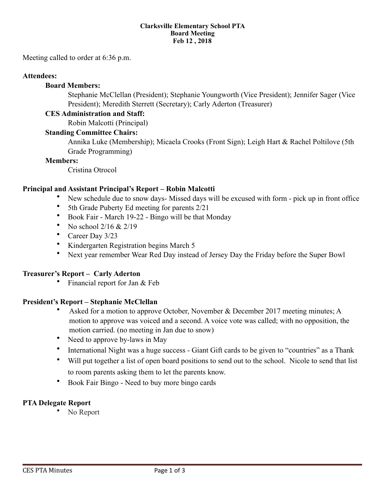#### **Clarksville Elementary School PTA Board Meeting Feb 12 , 2018**

Meeting called to order at 6:36 p.m.

#### **Attendees:**

#### **Board Members:**

 Stephanie McClellan (President); Stephanie Youngworth (Vice President); Jennifer Sager (Vice President); Meredith Sterrett (Secretary); Carly Aderton (Treasurer)

#### **CES Administration and Staff:**

Robin Malcotti (Principal)

#### **Standing Committee Chairs:**

Annika Luke (Membership); Micaela Crooks (Front Sign); Leigh Hart & Rachel Poltilove (5th Grade Programming)

#### **Members:**

Cristina Otrocol

#### **Principal and Assistant Principal's Report – Robin Malcotti**

- New schedule due to snow days- Missed days will be excused with form pick up in front office
- 5th Grade Puberty Ed meeting for parents 2/21
- Book Fair March 19-22 Bingo will be that Monday
- No school 2/16 & 2/19
- Career Day 3/23
- Kindergarten Registration begins March 5
- Next year remember Wear Red Day instead of Jersey Day the Friday before the Super Bowl

#### **Treasurer's Report – Carly Aderton**

• Financial report for Jan & Feb

#### **President's Report – Stephanie McClellan**

- Asked for a motion to approve October, November & December 2017 meeting minutes; A motion to approve was voiced and a second. A voice vote was called; with no opposition, the motion carried. (no meeting in Jan due to snow)
- Need to approve by-laws in May
- International Night was a huge success Giant Gift cards to be given to "countries" as a Thank
- Will put together a list of open board positions to send out to the school. Nicole to send that list to room parents asking them to let the parents know.
- Book Fair Bingo Need to buy more bingo cards

#### **PTA Delegate Report**

No Report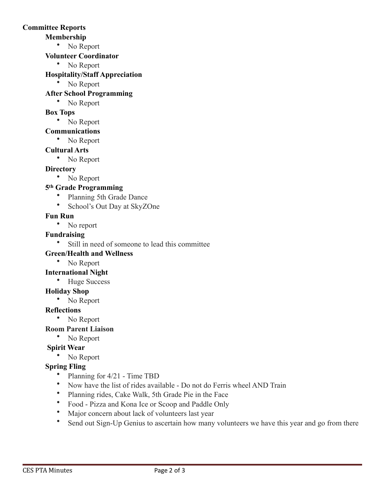### **Committee Reports**

### **Membership**

• No Report

### **Volunteer Coordinator**

• No Report

## **Hospitality/Staff Appreciation**

• No Report

## **After School Programming**

• No Report

## **Box Tops**

• No Report

## **Communications**

• No Report

## **Cultural Arts**

• No Report

## **Directory**

• No Report

## **5th Grade Programming**

- Planning 5th Grade Dance
- School's Out Day at SkyZOne

## **Fun Run**

• No report

## **Fundraising**

• Still in need of someone to lead this committee

## **Green/Health and Wellness**

• No Report

## **International Night**

• Huge Success

## **Holiday Shop**

• No Report

## **Reflections**

• No Report

## **Room Parent Liaison**

• No Report

# **Spirit Wear**

• No Report

# **Spring Fling**

- Planning for 4/21 Time TBD
- Now have the list of rides available Do not do Ferris wheel AND Train
- Planning rides, Cake Walk, 5th Grade Pie in the Face
- Food Pizza and Kona Ice or Scoop and Paddle Only
- Major concern about lack of volunteers last year
- Send out Sign-Up Genius to ascertain how many volunteers we have this year and go from there